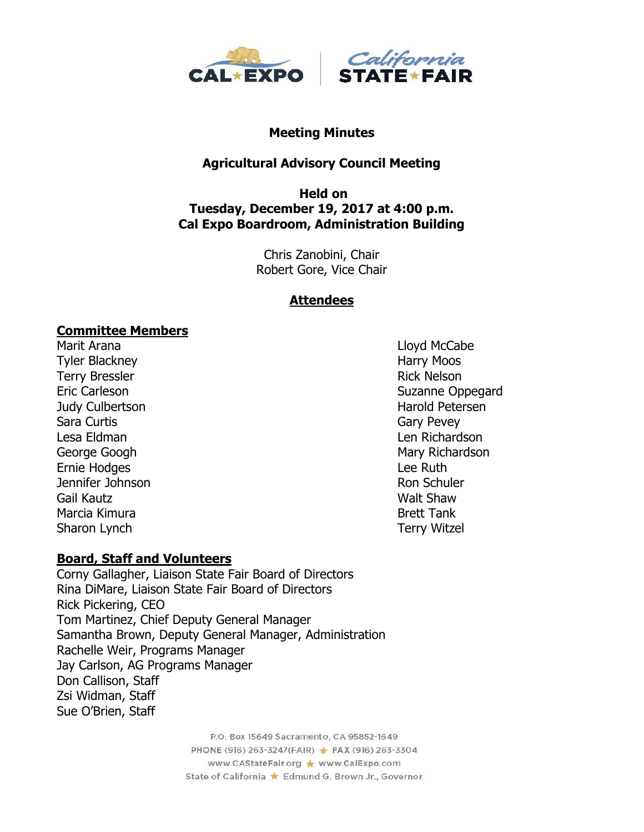

#### **Meeting Minutes**

## **Agricultural Advisory Council Meeting**

### **Held on Tuesday, December 19, 2017 at 4:00 p.m. Cal Expo Boardroom, Administration Building**

Chris Zanobini, Chair Robert Gore, Vice Chair

#### **Attendees**

#### **Committee Members**

Marit Arana **Marit Arana** Lloyd McCabe Tyler Blackney Noos and Tyler Blackney Terry Bressler **Rick Nelson** Rick Nelson Judy Culbertson Harold Petersen Sara Curtis **Gary Pevey** Lesa Eldman Len Richardson George Googh **Mary Richardson** Mary Richardson Ernie Hodges **Lee Ruth Jennifer Johnson** Ron Schuler Gail Kautz **Walt Shaw** Marcia Kimura Brett Tank Sharon Lynch Terry Witzel

Eric Carleson Suzanne Oppegard

### **Board, Staff and Volunteers**

Corny Gallagher, Liaison State Fair Board of Directors Rina DiMare, Liaison State Fair Board of Directors Rick Pickering, CEO Tom Martinez, Chief Deputy General Manager Samantha Brown, Deputy General Manager, Administration Rachelle Weir, Programs Manager Jay Carlson, AG Programs Manager Don Callison, Staff Zsi Widman, Staff Sue O'Brien, Staff

> P.O. Box 15649 Sacramento, CA 95852-1649 PHONE (916) 263-3247(FAIR) ★ FAX (916) 263-3304 www.CAStateFair.org ★ www.CalExpo.com State of California \* Edmund G. Brown Jr., Governor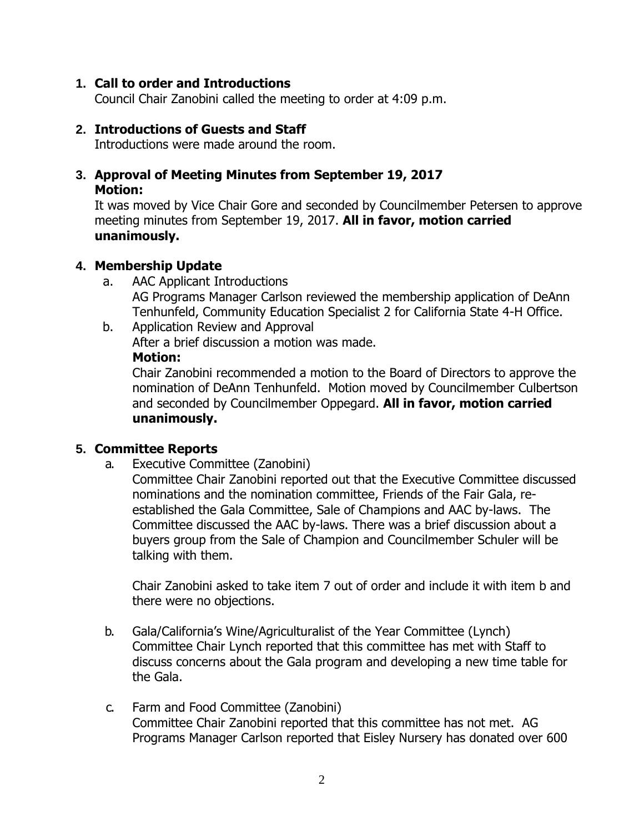#### **1. Call to order and Introductions**

Council Chair Zanobini called the meeting to order at 4:09 p.m.

#### **2. Introductions of Guests and Staff**

Introductions were made around the room.

## **3. Approval of Meeting Minutes from September 19, 2017 Motion:**

It was moved by Vice Chair Gore and seconded by Councilmember Petersen to approve meeting minutes from September 19, 2017. **All in favor, motion carried unanimously.**

### **4. Membership Update**

- a. AAC Applicant Introductions AG Programs Manager Carlson reviewed the membership application of DeAnn Tenhunfeld, Community Education Specialist 2 for California State 4-H Office.
- b. Application Review and Approval After a brief discussion a motion was made. **Motion:**

Chair Zanobini recommended a motion to the Board of Directors to approve the nomination of DeAnn Tenhunfeld. Motion moved by Councilmember Culbertson and seconded by Councilmember Oppegard. **All in favor, motion carried unanimously.**

### **5. Committee Reports**

a. Executive Committee (Zanobini)

Committee Chair Zanobini reported out that the Executive Committee discussed nominations and the nomination committee, Friends of the Fair Gala, reestablished the Gala Committee, Sale of Champions and AAC by-laws. The Committee discussed the AAC by-laws. There was a brief discussion about a buyers group from the Sale of Champion and Councilmember Schuler will be talking with them.

Chair Zanobini asked to take item 7 out of order and include it with item b and there were no objections.

- b. Gala/California's Wine/Agriculturalist of the Year Committee (Lynch) Committee Chair Lynch reported that this committee has met with Staff to discuss concerns about the Gala program and developing a new time table for the Gala.
- c. Farm and Food Committee (Zanobini) Committee Chair Zanobini reported that this committee has not met. AG Programs Manager Carlson reported that Eisley Nursery has donated over 600